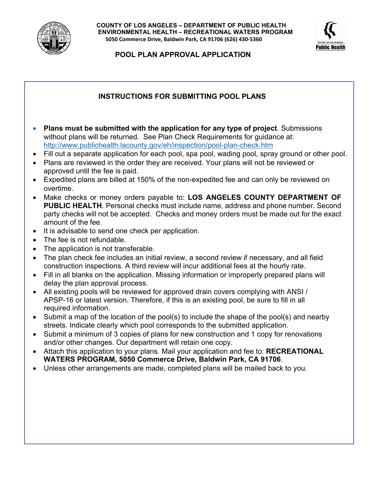

**COUNTY OF LOS ANGELES – DEPARTMENT OF PUBLIC HEALTH ENVIRONMENTAL HEALTH – RECREATIONAL WATERS PROGRAM 5050 Commerce Drive, Baldwin Park, CA 91706 (626) 430-5360** 



**POOL PLAN APPROVAL APPLICATION**

## **INSTRUCTIONS FOR SUBMITTING POOL PLANS**

- **Plans must be submitted with the application for any type of project**. Submissions without plans will be returned. See Plan Check Requirements for quidance at: <http://www.publichealth.lacounty.gov/eh/inspection/pool-plan-check.htm>
- Fill out a separate application for each pool, spa pool, wading pool, spray ground or other pool.
- Plans are reviewed in the order they are received. Your plans will not be reviewed or approved until the fee is paid.
- Expedited plans are billed at 150% of the non-expedited fee and can only be reviewed on overtime.
- Make checks or money orders payable to: **LOS ANGELES COUNTY DEPARTMENT OF PUBLIC HEALTH**. Personal checks must include name, address and phone number. Second party checks will not be accepted. Checks and money orders must be made out for the exact amount of the fee.
- It is advisable to send one check per application.
- The fee is not refundable.
- The application is not transferable.
- The plan check fee includes an initial review, a second review if necessary, and all field construction inspections. A third review will incur additional fees at the hourly rate.
- Fill in all blanks on the application. Missing information or improperly prepared plans will delay the plan approval process.
- All existing pools will be reviewed for approved drain covers complying with ANSI / APSP-16 or latest version. Therefore, if this is an existing pool, be sure to fill in all required information.
- Submit a map of the location of the pool(s) to include the shape of the pool(s) and nearby streets. Indicate clearly which pool corresponds to the submitted application.
- Submit a minimum of 3 copies of plans for new construction and 1 copy for renovations and/or other changes. Our department will retain one copy.
- Attach this application to your plans. Mail your application and fee to: **RECREATIONAL WATERS PROGRAM, 5050 Commerce Drive, Baldwin Park, CA 91706**.
- Unless other arrangements are made, completed plans will be mailed back to you.